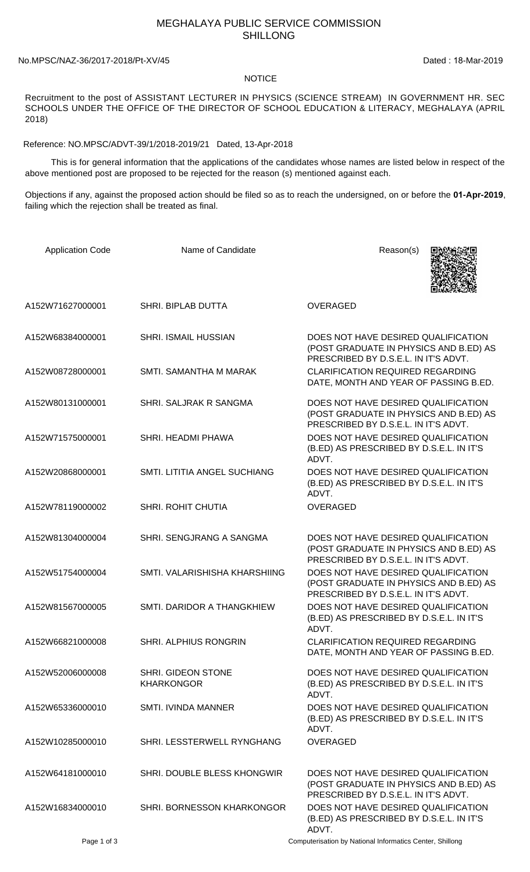## MEGHALAYA PUBLIC SERVICE COMMISSION SHILLONG

## No.MPSC/NAZ-36/2017-2018/Pt-XV/45 Dated : 18-Mar-2019

## **NOTICE**

Recruitment to the post of ASSISTANT LECTURER IN PHYSICS (SCIENCE STREAM) IN GOVERNMENT HR. SEC SCHOOLS UNDER THE OFFICE OF THE DIRECTOR OF SCHOOL EDUCATION & LITERACY, MEGHALAYA (APRIL 2018)

Reference: NO.MPSC/ADVT-39/1/2018-2019/21 Dated, 13-Apr-2018

 This is for general information that the applications of the candidates whose names are listed below in respect of the above mentioned post are proposed to be rejected for the reason (s) mentioned against each.

Objections if any, against the proposed action should be filed so as to reach the undersigned, on or before the **01-Apr-2019**, failing which the rejection shall be treated as final.

| <b>Application Code</b> | Name of Candidate                       | Reason(s)                                                                                                             |
|-------------------------|-----------------------------------------|-----------------------------------------------------------------------------------------------------------------------|
| A152W71627000001        | SHRI. BIPLAB DUTTA                      | <b>OVERAGED</b>                                                                                                       |
| A152W68384000001        | <b>SHRI. ISMAIL HUSSIAN</b>             | DOES NOT HAVE DESIRED QUALIFICATION<br>(POST GRADUATE IN PHYSICS AND B.ED) AS<br>PRESCRIBED BY D.S.E.L. IN IT'S ADVT. |
| A152W08728000001        | SMTI. SAMANTHA M MARAK                  | <b>CLARIFICATION REQUIRED REGARDING</b><br>DATE, MONTH AND YEAR OF PASSING B.ED.                                      |
| A152W80131000001        | SHRI. SALJRAK R SANGMA                  | DOES NOT HAVE DESIRED QUALIFICATION<br>(POST GRADUATE IN PHYSICS AND B.ED) AS<br>PRESCRIBED BY D.S.E.L. IN IT'S ADVT. |
| A152W71575000001        | SHRI. HEADMI PHAWA                      | DOES NOT HAVE DESIRED QUALIFICATION<br>(B.ED) AS PRESCRIBED BY D.S.E.L. IN IT'S<br>ADVT.                              |
| A152W20868000001        | SMTI. LITITIA ANGEL SUCHIANG            | DOES NOT HAVE DESIRED QUALIFICATION<br>(B.ED) AS PRESCRIBED BY D.S.E.L. IN IT'S<br>ADVT.                              |
| A152W78119000002        | SHRI. ROHIT CHUTIA                      | <b>OVERAGED</b>                                                                                                       |
| A152W81304000004        | SHRI. SENGJRANG A SANGMA                | DOES NOT HAVE DESIRED QUALIFICATION<br>(POST GRADUATE IN PHYSICS AND B.ED) AS<br>PRESCRIBED BY D.S.E.L. IN IT'S ADVT. |
| A152W51754000004        | SMTI. VALARISHISHA KHARSHIING           | DOES NOT HAVE DESIRED QUALIFICATION<br>(POST GRADUATE IN PHYSICS AND B.ED) AS<br>PRESCRIBED BY D.S.E.L. IN IT'S ADVT. |
| A152W81567000005        | SMTI. DARIDOR A THANGKHIEW              | DOES NOT HAVE DESIRED QUALIFICATION<br>(B.ED) AS PRESCRIBED BY D.S.E.L. IN IT'S<br>ADVT.                              |
| A152W66821000008        | SHRI. ALPHIUS RONGRIN                   | <b>CLARIFICATION REQUIRED REGARDING</b><br>DATE, MONTH AND YEAR OF PASSING B.ED.                                      |
| A152W52006000008        | SHRI. GIDEON STONE<br><b>KHARKONGOR</b> | DOES NOT HAVE DESIRED QUALIFICATION<br>(B.ED) AS PRESCRIBED BY D.S.E.L. IN IT'S<br>ADVT.                              |
| A152W65336000010        | <b>SMTI. IVINDA MANNER</b>              | DOES NOT HAVE DESIRED QUALIFICATION<br>(B.ED) AS PRESCRIBED BY D.S.E.L. IN IT'S<br>ADVT.                              |
| A152W10285000010        | SHRI. LESSTERWELL RYNGHANG              | <b>OVERAGED</b>                                                                                                       |
| A152W64181000010        | SHRI. DOUBLE BLESS KHONGWIR             | DOES NOT HAVE DESIRED QUALIFICATION<br>(POST GRADUATE IN PHYSICS AND B.ED) AS<br>PRESCRIBED BY D.S.E.L. IN IT'S ADVT. |
| A152W16834000010        | SHRI. BORNESSON KHARKONGOR              | DOES NOT HAVE DESIRED QUALIFICATION<br>(B.ED) AS PRESCRIBED BY D.S.E.L. IN IT'S<br>ADVT.                              |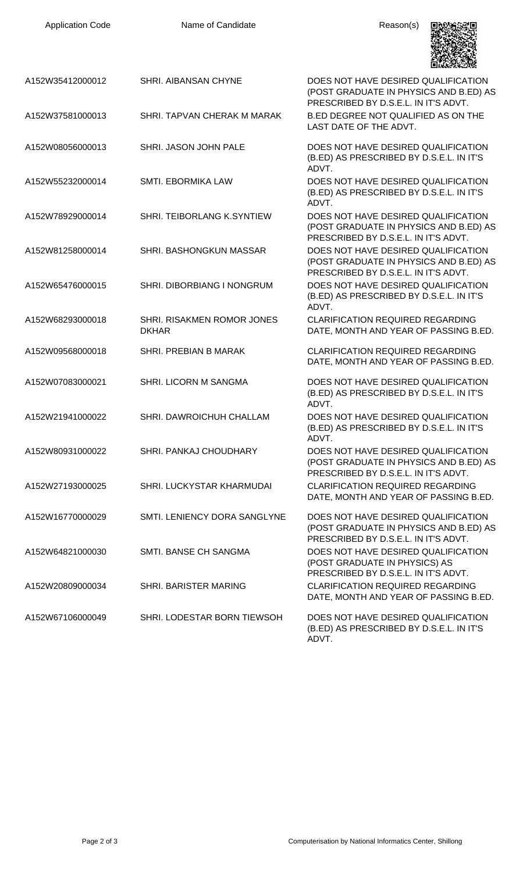| <b>Application Code</b> | Name of Candidate                          | Reason(s)                                                                                                             |
|-------------------------|--------------------------------------------|-----------------------------------------------------------------------------------------------------------------------|
| A152W35412000012        | SHRI. AIBANSAN CHYNE                       | DOES NOT HAVE DESIRED QUALIFICATION<br>(POST GRADUATE IN PHYSICS AND B.ED) AS<br>PRESCRIBED BY D.S.E.L. IN IT'S ADVT. |
| A152W37581000013        | SHRI. TAPVAN CHERAK M MARAK                | B.ED DEGREE NOT QUALIFIED AS ON THE<br>LAST DATE OF THE ADVT.                                                         |
| A152W08056000013        | SHRI. JASON JOHN PALE                      | DOES NOT HAVE DESIRED QUALIFICATION<br>(B.ED) AS PRESCRIBED BY D.S.E.L. IN IT'S<br>ADVT.                              |
| A152W55232000014        | SMTI. EBORMIKA LAW                         | DOES NOT HAVE DESIRED QUALIFICATION<br>(B.ED) AS PRESCRIBED BY D.S.E.L. IN IT'S<br>ADVT.                              |
| A152W78929000014        | SHRI. TEIBORLANG K.SYNTIEW                 | DOES NOT HAVE DESIRED QUALIFICATION<br>(POST GRADUATE IN PHYSICS AND B.ED) AS<br>PRESCRIBED BY D.S.E.L. IN IT'S ADVT. |
| A152W81258000014        | SHRI. BASHONGKUN MASSAR                    | DOES NOT HAVE DESIRED QUALIFICATION<br>(POST GRADUATE IN PHYSICS AND B.ED) AS<br>PRESCRIBED BY D.S.E.L. IN IT'S ADVT. |
| A152W65476000015        | SHRI. DIBORBIANG I NONGRUM                 | DOES NOT HAVE DESIRED QUALIFICATION<br>(B.ED) AS PRESCRIBED BY D.S.E.L. IN IT'S<br>ADVT.                              |
| A152W68293000018        | SHRI. RISAKMEN ROMOR JONES<br><b>DKHAR</b> | <b>CLARIFICATION REQUIRED REGARDING</b><br>DATE, MONTH AND YEAR OF PASSING B.ED.                                      |
| A152W09568000018        | SHRI. PREBIAN B MARAK                      | <b>CLARIFICATION REQUIRED REGARDING</b><br>DATE, MONTH AND YEAR OF PASSING B.ED.                                      |
| A152W07083000021        | <b>SHRI. LICORN M SANGMA</b>               | DOES NOT HAVE DESIRED QUALIFICATION<br>(B.ED) AS PRESCRIBED BY D.S.E.L. IN IT'S<br>ADVT.                              |
| A152W21941000022        | SHRI. DAWROICHUH CHALLAM                   | DOES NOT HAVE DESIRED QUALIFICATION<br>(B.ED) AS PRESCRIBED BY D.S.E.L. IN IT'S<br>ADVT.                              |
| A152W80931000022        | SHRI. PANKAJ CHOUDHARY                     | DOES NOT HAVE DESIRED QUALIFICATION<br>(POST GRADUATE IN PHYSICS AND B.ED) AS<br>PRESCRIBED BY D.S.E.L. IN IT'S ADVT. |
| A152W27193000025        | SHRI. LUCKYSTAR KHARMUDAI                  | <b>CLARIFICATION REQUIRED REGARDING</b><br>DATE, MONTH AND YEAR OF PASSING B.ED.                                      |
| A152W16770000029        | SMTI. LENIENCY DORA SANGLYNE               | DOES NOT HAVE DESIRED QUALIFICATION<br>(POST GRADUATE IN PHYSICS AND B.ED) AS<br>PRESCRIBED BY D.S.E.L. IN IT'S ADVT. |
| A152W64821000030        | SMTI. BANSE CH SANGMA                      | DOES NOT HAVE DESIRED QUALIFICATION<br>(POST GRADUATE IN PHYSICS) AS<br>PRESCRIBED BY D.S.E.L. IN IT'S ADVT.          |
| A152W20809000034        | SHRI. BARISTER MARING                      | <b>CLARIFICATION REQUIRED REGARDING</b><br>DATE, MONTH AND YEAR OF PASSING B.ED.                                      |
| A152W67106000049        | SHRI. LODESTAR BORN TIEWSOH                | DOES NOT HAVE DESIRED QUALIFICATION<br>(B.ED) AS PRESCRIBED BY D.S.E.L. IN IT'S<br>ADVT.                              |